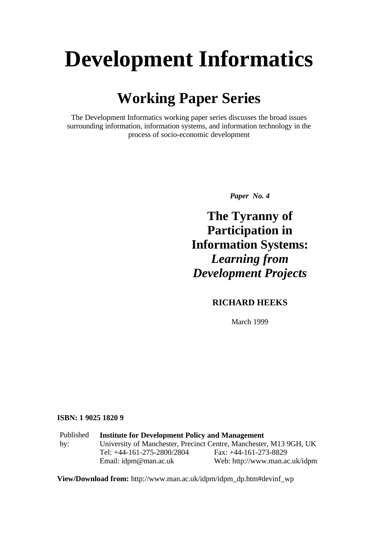# **Development Informatics**

### **Working Paper Series**

The Development Informatics working paper series discusses the broad issues surrounding information, information systems, and information technology in the process of socio-economic development

*Paper No. 4*

**The Tyranny of Participation in Information Systems:** *Learning from Development Projects*

#### **RICHARD HEEKS**

March 1999

#### **ISBN: 1 9025 1820 9**

Published by: **Institute for Development Policy and Management** University of Manchester, Precinct Centre, Manchester, M13 9GH, UK Tel: +44-161-275-2800/2804 Fax: +44-161-273-8829 Email: idpm@man.ac.uk Web: http://www.man.ac.uk/idpm

**View/Download from:** http://www.man.ac.uk/idpm/idpm\_dp.htm#devinf\_wp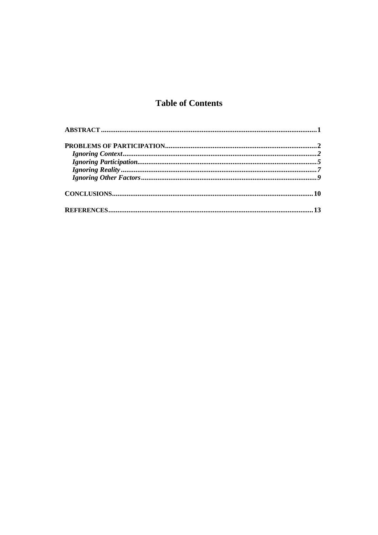#### **Table of Contents**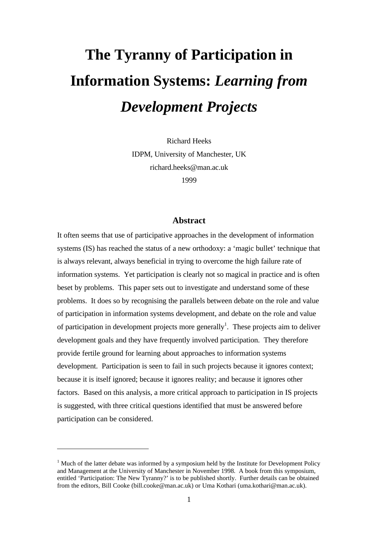## **The Tyranny of Participation in Information Systems:** *Learning from Development Projects*

Richard Heeks IDPM, University of Manchester, UK richard.heeks@man.ac.uk 1999

#### **Abstract**

It often seems that use of participative approaches in the development of information systems (IS) has reached the status of a new orthodoxy: a 'magic bullet' technique that is always relevant, always beneficial in trying to overcome the high failure rate of information systems. Yet participation is clearly not so magical in practice and is often beset by problems. This paper sets out to investigate and understand some of these problems. It does so by recognising the parallels between debate on the role and value of participation in information systems development, and debate on the role and value of participation in development projects more generally<sup>1</sup>. These projects aim to deliver development goals and they have frequently involved participation. They therefore provide fertile ground for learning about approaches to information systems development. Participation is seen to fail in such projects because it ignores context; because it is itself ignored; because it ignores reality; and because it ignores other factors. Based on this analysis, a more critical approach to participation in IS projects is suggested, with three critical questions identified that must be answered before participation can be considered.

 $\overline{a}$ 

<sup>&</sup>lt;sup>1</sup> Much of the latter debate was informed by a symposium held by the Institute for Development Policy and Management at the University of Manchester in November 1998. A book from this symposium, entitled 'Participation: The New Tyranny?' is to be published shortly. Further details can be obtained from the editors, Bill Cooke (bill.cooke@man.ac.uk) or Uma Kothari (uma.kothari@man.ac.uk).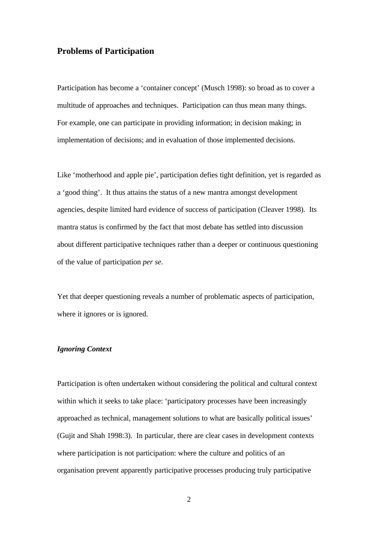#### **Problems of Participation**

Participation has become a 'container concept' (Musch 1998): so broad as to cover a multitude of approaches and techniques. Participation can thus mean many things. For example, one can participate in providing information; in decision making; in implementation of decisions; and in evaluation of those implemented decisions.

Like 'motherhood and apple pie', participation defies tight definition, yet is regarded as a 'good thing'. It thus attains the status of a new mantra amongst development agencies, despite limited hard evidence of success of participation (Cleaver 1998). Its mantra status is confirmed by the fact that most debate has settled into discussion about different participative techniques rather than a deeper or continuous questioning of the value of participation *per se*.

Yet that deeper questioning reveals a number of problematic aspects of participation, where it ignores or is ignored.

#### *Ignoring Context*

Participation is often undertaken without considering the political and cultural context within which it seeks to take place: 'participatory processes have been increasingly approached as technical, management solutions to what are basically political issues' (Gujit and Shah 1998:3). In particular, there are clear cases in development contexts where participation is not participation: where the culture and politics of an organisation prevent apparently participative processes producing truly participative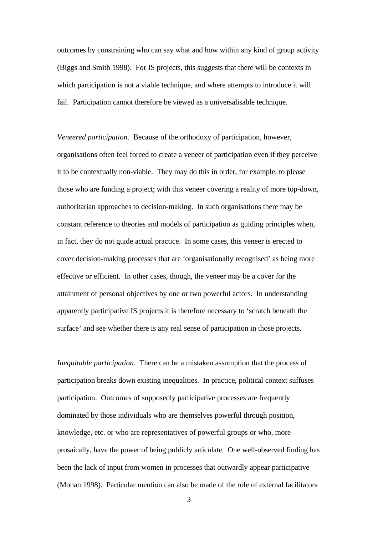outcomes by constraining who can say what and how within any kind of group activity (Biggs and Smith 1998). For IS projects, this suggests that there will be contexts in which participation is not a viable technique, and where attempts to introduce it will fail. Participation cannot therefore be viewed as a universalisable technique.

*Veneered participation*. Because of the orthodoxy of participation, however, organisations often feel forced to create a veneer of participation even if they perceive it to be contextually non-viable. They may do this in order, for example, to please those who are funding a project; with this veneer covering a reality of more top-down, authoritarian approaches to decision-making. In such organisations there may be constant reference to theories and models of participation as guiding principles when, in fact, they do not guide actual practice. In some cases, this veneer is erected to cover decision-making processes that are 'organisationally recognised' as being more effective or efficient. In other cases, though, the veneer may be a cover for the attainment of personal objectives by one or two powerful actors. In understanding apparently participative IS projects it is therefore necessary to 'scratch beneath the surface' and see whether there is any real sense of participation in those projects.

*Inequitable participation*. There can be a mistaken assumption that the process of participation breaks down existing inequalities. In practice, political context suffuses participation. Outcomes of supposedly participative processes are frequently dominated by those individuals who are themselves powerful through position, knowledge, etc. or who are representatives of powerful groups or who, more prosaically, have the power of being publicly articulate. One well-observed finding has been the lack of input from women in processes that outwardly appear participative (Mohan 1998). Particular mention can also be made of the role of external facilitators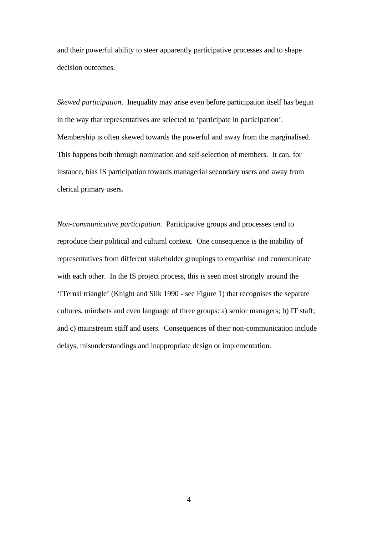and their powerful ability to steer apparently participative processes and to shape decision outcomes.

*Skewed participation*. Inequality may arise even before participation itself has begun in the way that representatives are selected to 'participate in participation'. Membership is often skewed towards the powerful and away from the marginalised. This happens both through nomination and self-selection of members. It can, for instance, bias IS participation towards managerial secondary users and away from clerical primary users.

*Non-communicative participation*. Participative groups and processes tend to reproduce their political and cultural context. One consequence is the inability of representatives from different stakeholder groupings to empathise and communicate with each other. In the IS project process, this is seen most strongly around the 'ITernal triangle' (Knight and Silk 1990 - see Figure 1) that recognises the separate cultures, mindsets and even language of three groups: a) senior managers; b) IT staff; and c) mainstream staff and users. Consequences of their non-communication include delays, misunderstandings and inappropriate design or implementation.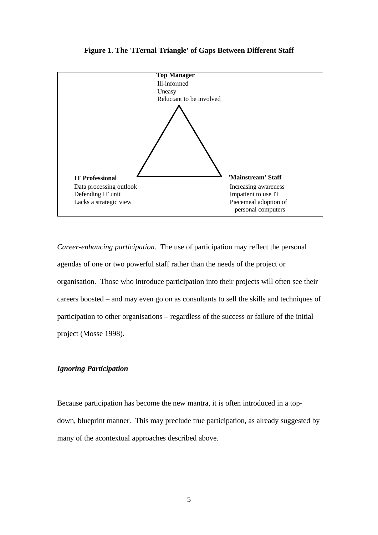

**Figure 1. The 'ITernal Triangle' of Gaps Between Different Staff**

*Career-enhancing participation*. The use of participation may reflect the personal agendas of one or two powerful staff rather than the needs of the project or organisation. Those who introduce participation into their projects will often see their careers boosted – and may even go on as consultants to sell the skills and techniques of participation to other organisations – regardless of the success or failure of the initial project (Mosse 1998).

#### *Ignoring Participation*

Because participation has become the new mantra, it is often introduced in a topdown, blueprint manner. This may preclude true participation, as already suggested by many of the acontextual approaches described above.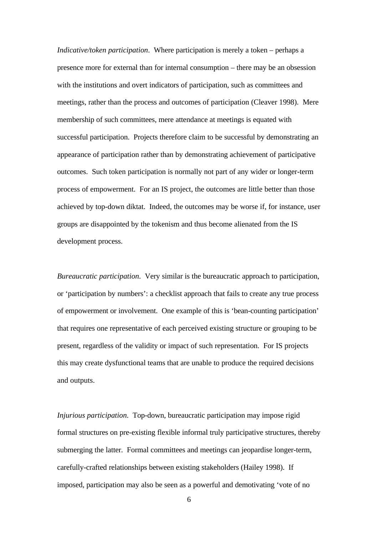*Indicative/token participation*. Where participation is merely a token – perhaps a presence more for external than for internal consumption – there may be an obsession with the institutions and overt indicators of participation, such as committees and meetings, rather than the process and outcomes of participation (Cleaver 1998). Mere membership of such committees, mere attendance at meetings is equated with successful participation. Projects therefore claim to be successful by demonstrating an appearance of participation rather than by demonstrating achievement of participative outcomes. Such token participation is normally not part of any wider or longer-term process of empowerment. For an IS project, the outcomes are little better than those achieved by top-down diktat. Indeed, the outcomes may be worse if, for instance, user groups are disappointed by the tokenism and thus become alienated from the IS development process.

*Bureaucratic participation*. Very similar is the bureaucratic approach to participation, or 'participation by numbers': a checklist approach that fails to create any true process of empowerment or involvement. One example of this is 'bean-counting participation' that requires one representative of each perceived existing structure or grouping to be present, regardless of the validity or impact of such representation. For IS projects this may create dysfunctional teams that are unable to produce the required decisions and outputs.

*Injurious participation*. Top-down, bureaucratic participation may impose rigid formal structures on pre-existing flexible informal truly participative structures, thereby submerging the latter. Formal committees and meetings can jeopardise longer-term, carefully-crafted relationships between existing stakeholders (Hailey 1998). If imposed, participation may also be seen as a powerful and demotivating 'vote of no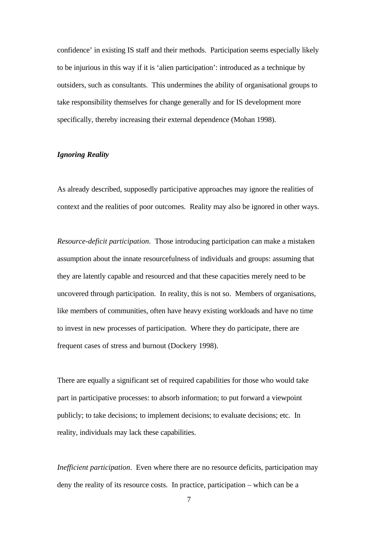confidence' in existing IS staff and their methods. Participation seems especially likely to be injurious in this way if it is 'alien participation': introduced as a technique by outsiders, such as consultants. This undermines the ability of organisational groups to take responsibility themselves for change generally and for IS development more specifically, thereby increasing their external dependence (Mohan 1998).

#### *Ignoring Reality*

As already described, supposedly participative approaches may ignore the realities of context and the realities of poor outcomes. Reality may also be ignored in other ways.

*Resource-deficit participation*. Those introducing participation can make a mistaken assumption about the innate resourcefulness of individuals and groups: assuming that they are latently capable and resourced and that these capacities merely need to be uncovered through participation. In reality, this is not so. Members of organisations, like members of communities, often have heavy existing workloads and have no time to invest in new processes of participation. Where they do participate, there are frequent cases of stress and burnout (Dockery 1998).

There are equally a significant set of required capabilities for those who would take part in participative processes: to absorb information; to put forward a viewpoint publicly; to take decisions; to implement decisions; to evaluate decisions; etc. In reality, individuals may lack these capabilities.

*Inefficient participation*. Even where there are no resource deficits, participation may deny the reality of its resource costs. In practice, participation – which can be a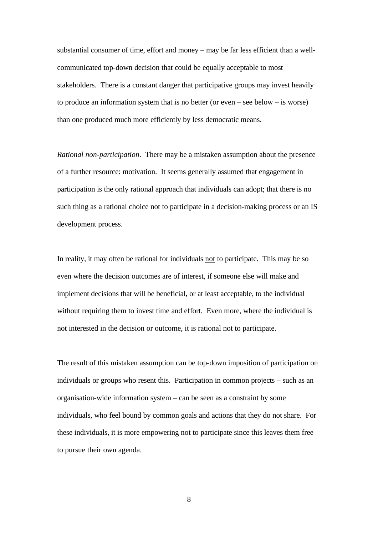substantial consumer of time, effort and money – may be far less efficient than a wellcommunicated top-down decision that could be equally acceptable to most stakeholders. There is a constant danger that participative groups may invest heavily to produce an information system that is no better (or even – see below – is worse) than one produced much more efficiently by less democratic means.

*Rational non-participation*. There may be a mistaken assumption about the presence of a further resource: motivation. It seems generally assumed that engagement in participation is the only rational approach that individuals can adopt; that there is no such thing as a rational choice not to participate in a decision-making process or an IS development process.

In reality, it may often be rational for individuals not to participate. This may be so even where the decision outcomes are of interest, if someone else will make and implement decisions that will be beneficial, or at least acceptable, to the individual without requiring them to invest time and effort. Even more, where the individual is not interested in the decision or outcome, it is rational not to participate.

The result of this mistaken assumption can be top-down imposition of participation on individuals or groups who resent this. Participation in common projects – such as an organisation-wide information system – can be seen as a constraint by some individuals, who feel bound by common goals and actions that they do not share. For these individuals, it is more empowering not to participate since this leaves them free to pursue their own agenda.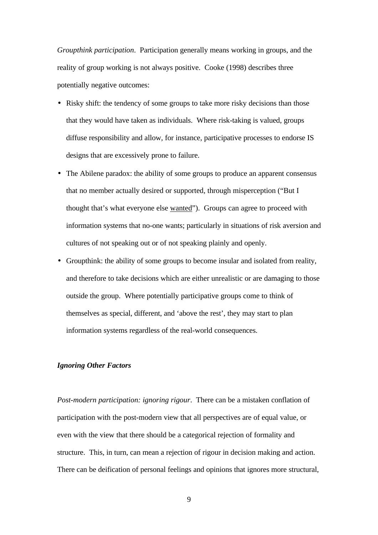*Groupthink participation*. Participation generally means working in groups, and the reality of group working is not always positive. Cooke (1998) describes three potentially negative outcomes:

- Risky shift: the tendency of some groups to take more risky decisions than those that they would have taken as individuals. Where risk-taking is valued, groups diffuse responsibility and allow, for instance, participative processes to endorse IS designs that are excessively prone to failure.
- The Abilene paradox: the ability of some groups to produce an apparent consensus that no member actually desired or supported, through misperception ("But I thought that's what everyone else wanted"). Groups can agree to proceed with information systems that no-one wants; particularly in situations of risk aversion and cultures of not speaking out or of not speaking plainly and openly.
- Groupthink: the ability of some groups to become insular and isolated from reality, and therefore to take decisions which are either unrealistic or are damaging to those outside the group. Where potentially participative groups come to think of themselves as special, different, and 'above the rest', they may start to plan information systems regardless of the real-world consequences.

#### *Ignoring Other Factors*

*Post-modern participation: ignoring rigour*. There can be a mistaken conflation of participation with the post-modern view that all perspectives are of equal value, or even with the view that there should be a categorical rejection of formality and structure. This, in turn, can mean a rejection of rigour in decision making and action. There can be deification of personal feelings and opinions that ignores more structural,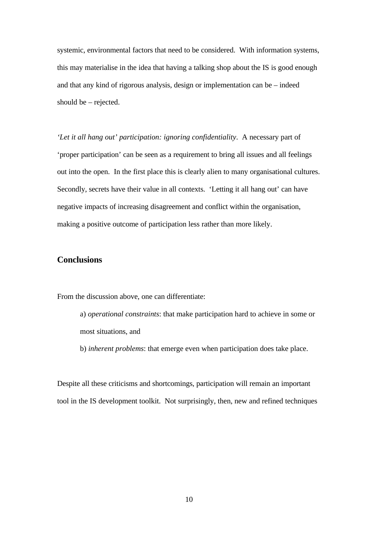systemic, environmental factors that need to be considered. With information systems, this may materialise in the idea that having a talking shop about the IS is good enough and that any kind of rigorous analysis, design or implementation can be – indeed should be – rejected.

*'Let it all hang out' participation: ignoring confidentiality*. A necessary part of 'proper participation' can be seen as a requirement to bring all issues and all feelings out into the open. In the first place this is clearly alien to many organisational cultures. Secondly, secrets have their value in all contexts. 'Letting it all hang out' can have negative impacts of increasing disagreement and conflict within the organisation, making a positive outcome of participation less rather than more likely.

#### **Conclusions**

From the discussion above, one can differentiate:

- a) *operational constraints*: that make participation hard to achieve in some or most situations, and
- b) *inherent problems*: that emerge even when participation does take place.

Despite all these criticisms and shortcomings, participation will remain an important tool in the IS development toolkit. Not surprisingly, then, new and refined techniques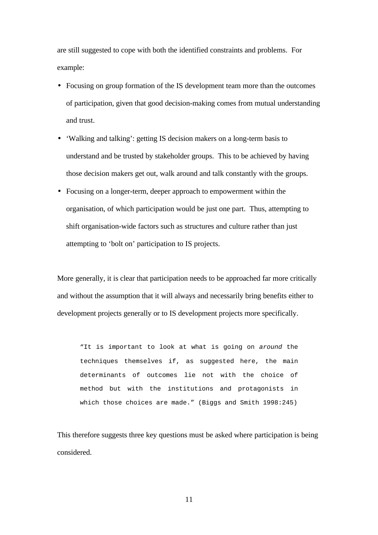are still suggested to cope with both the identified constraints and problems. For example:

- Focusing on group formation of the IS development team more than the outcomes of participation, given that good decision-making comes from mutual understanding and trust.
- 'Walking and talking': getting IS decision makers on a long-term basis to understand and be trusted by stakeholder groups. This to be achieved by having those decision makers get out, walk around and talk constantly with the groups.
- Focusing on a longer-term, deeper approach to empowerment within the organisation, of which participation would be just one part. Thus, attempting to shift organisation-wide factors such as structures and culture rather than just attempting to 'bolt on' participation to IS projects.

More generally, it is clear that participation needs to be approached far more critically and without the assumption that it will always and necessarily bring benefits either to development projects generally or to IS development projects more specifically.

"It is important to look at what is going on *around* the techniques themselves if, as suggested here, the main determinants of outcomes lie not with the choice of method but with the institutions and protagonists in which those choices are made." (Biggs and Smith 1998:245)

This therefore suggests three key questions must be asked where participation is being considered.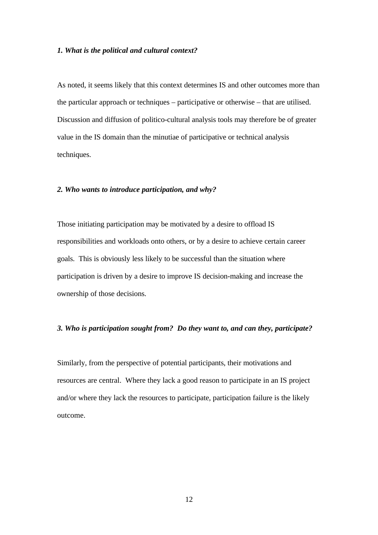#### *1. What is the political and cultural context?*

As noted, it seems likely that this context determines IS and other outcomes more than the particular approach or techniques – participative or otherwise – that are utilised. Discussion and diffusion of politico-cultural analysis tools may therefore be of greater value in the IS domain than the minutiae of participative or technical analysis techniques.

#### *2. Who wants to introduce participation, and why?*

Those initiating participation may be motivated by a desire to offload IS responsibilities and workloads onto others, or by a desire to achieve certain career goals. This is obviously less likely to be successful than the situation where participation is driven by a desire to improve IS decision-making and increase the ownership of those decisions.

#### *3. Who is participation sought from? Do they want to, and can they, participate?*

Similarly, from the perspective of potential participants, their motivations and resources are central. Where they lack a good reason to participate in an IS project and/or where they lack the resources to participate, participation failure is the likely outcome.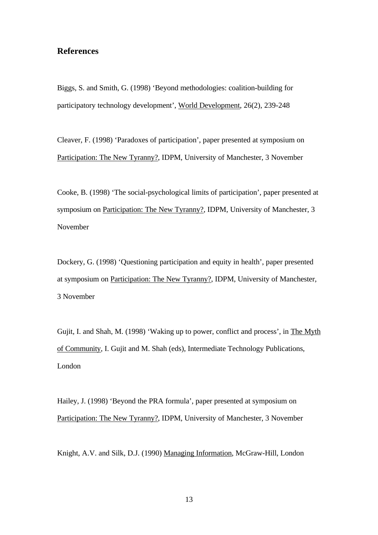#### **References**

Biggs, S. and Smith, G. (1998) 'Beyond methodologies: coalition-building for participatory technology development', World Development, 26(2), 239-248

Cleaver, F. (1998) 'Paradoxes of participation', paper presented at symposium on Participation: The New Tyranny?, IDPM, University of Manchester, 3 November

Cooke, B. (1998) 'The social-psychological limits of participation', paper presented at symposium on Participation: The New Tyranny?, IDPM, University of Manchester, 3 November

Dockery, G. (1998) 'Questioning participation and equity in health', paper presented at symposium on Participation: The New Tyranny?, IDPM, University of Manchester, 3 November

Gujit, I. and Shah, M. (1998) 'Waking up to power, conflict and process', in The Myth of Community, I. Gujit and M. Shah (eds), Intermediate Technology Publications, London

Hailey, J. (1998) 'Beyond the PRA formula', paper presented at symposium on Participation: The New Tyranny?, IDPM, University of Manchester, 3 November

Knight, A.V. and Silk, D.J. (1990) Managing Information, McGraw-Hill, London